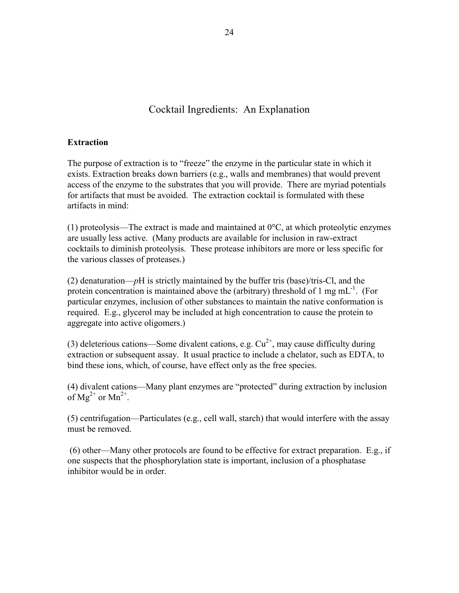## Cocktail Ingredients: An Explanation

## **Extraction**

The purpose of extraction is to "freeze" the enzyme in the particular state in which it exists. Extraction breaks down barriers (e.g., walls and membranes) that would prevent access of the enzyme to the substrates that you will provide. There are myriad potentials for artifacts that must be avoided. The extraction cocktail is formulated with these artifacts in mind:

(1) proteolysis—The extract is made and maintained at  $0^{\circ}$ C, at which proteolytic enzymes are usually less active. (Many products are available for inclusion in raw-extract cocktails to diminish proteolysis. These protease inhibitors are more or less specific for the various classes of proteases.)

(2) denaturation—*p*H is strictly maintained by the buffer tris (base)/tris-Cl, and the protein concentration is maintained above the (arbitrary) threshold of 1 mg  $mL^{-1}$ . (For particular enzymes, inclusion of other substances to maintain the native conformation is required. E.g., glycerol may be included at high concentration to cause the protein to aggregate into active oligomers.)

(3) deleterious cations—Some divalent cations, e.g.  $Cu^{2+}$ , may cause difficulty during extraction or subsequent assay. It usual practice to include a chelator, such as EDTA, to bind these ions, which, of course, have effect only as the free species.

(4) divalent cations—Many plant enzymes are "protected" during extraction by inclusion of  $Mg^{2+}$  or  $Mn^{2+}$ .

(5) centrifugation—Particulates (e.g., cell wall, starch) that would interfere with the assay must be removed.

 (6) other—Many other protocols are found to be effective for extract preparation. E.g., if one suspects that the phosphorylation state is important, inclusion of a phosphatase inhibitor would be in order.